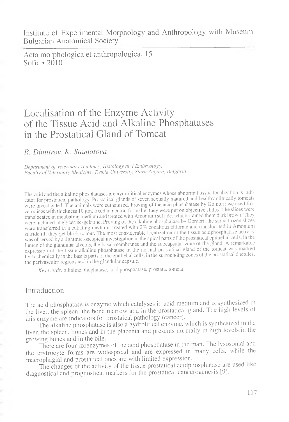Acta morphologica et anthropologica, 15 Sofia • 2010

# Localisation of the Enzyme Activity of the Tissue Acid and Alkaline Phosphatases in the Prostatical Gland of Tomcat

### *R. Dimitrov, K. Stamatova*

*Department of Veterinary Anatomy, Histology and Embryology, Faculty of Veterinary Medicine, Trakia University, Stara Zagora, Bulgaria*

The acid and the alkaline phosphatases are hydrolitical enzymes whose abnormal tissue localization is indicator for prostatical pathology. Prostatical glands of seven sexually matured and healthy clinically tomcats were investigated. The animals were euthanised. Proving of the acid phosphatase by Gomori: we used frozen slices with thickness 10 pm, fixed in neutral formalin, they were put on objective slides. The slices were translocated in incubating medium and treated with Amonium sulfide, which stained them dark brown. They were included in glycerine-gelatine. Proving of the alkaline phosphatase by Gomori: the same frozen slices were transferred in incubating medium, treated with 2% cobaltous chlorate and translocated in Amonium sulfide till they get black colour. The most considerable localization of the tissue acidphosphatase activity was observed by a lightmicroscopical investigation in the apical parts of the prostatical epithelial cells, in the lumen of the glandular alveols, the basal membranes and the subcapsular zone of the gland. A remarkable expression of the tissue alkaline phosphatase in the normal prostatical gland of the tomcat was marked hystochemically in the basals parts of the epithelial cells, in the surrounding zones of the prostatical ductules, the perivascular regions and in the glandular capsule.

*Key words:* alkaline phophatase, acid phosphatase, prostata, tomcat.

## Introduction

The acid phosphatase is enzyme which catalyses in acid medium and is synthesized in the liver, the spleen, the bone marrow and in the prostatical gland. The high levels of this enzyme are indicators for prostaical pathology (cancer).

The alkaline phosphatase is also a hydrolitical enzyme, which is synthesized in the liver, the spleen, bones and in the placenta and presents normally in high levels in the growing bones and in the bile.

There are four izoenzymes of the acid phosphatase in the man. The lysosomal and the erytrocyte forms are widespread and are expressed in many cells, while the macrophagial and prostatical ones are with limited expression.

The changes of the activity of the tissue prostatical acidphosphatase are used like diagnostical and prognostical markers for the prostatical cancerogenesis [9].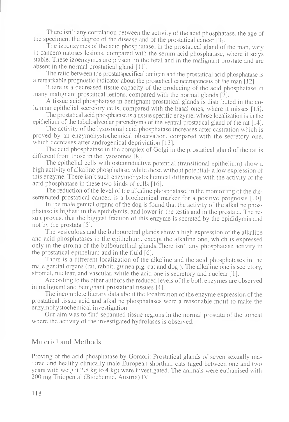There isn't any correlation between the activity of the acid phosphatase, the age of the specimen, the degree of the disease and of the prostatical cancer [3].

The izoenzymes of the acid phosphatase, in the prostatical gland of the man. vary in canceromatoses lesions, compared with the serum acid phosphatase, where it stays stable. These izoenzymes are present in the fetal and in the malignant prostate and are absent in the normal prostatical gland [11].

The ratio between the prostatspecifical antigen and the prostatical acid phosphatase is a remarkable prognostic indicator about the prostatical cancerogenesis of the man [12].

There is a decreased tissue capacity of the producing of the acid phosphatase in many malignant prostatical lesions, compared with the normal glands [7].

A tissue acid phosphatase in benignant prostatical glands is distributed in the columnar epithelial secretory cells, compared with the basal ones, where it misses [15].

The prostatical acid phosphatase is a tissue specific enzyme, whose localization is in the epithelium of the tubuloalveolar parenchyma of the ventral prostatical gland of the rat [ 14].

The activity of the lysosomal acid phosphatase increases after castration which is proved by an enzymohystochemical observation, compared with the secretory one. which decreases after androgenical depriviation [13].

The acid phosphatase in the complex of Golgi in the prostatical gland of the rat is different from those in the lysosomes [8].

The epithelial cells with osteoinductive potential (transitional epithelium) show a high activity of alkaline phosphatase, while these without potential- a low expression of this enzyme. There isn't such enzymohystochemical differences with the activity of the acid phosphatase in these two kinds of cells [16].

The reduction of the level of the alkaline phosphatase, in the monitoring of the disseminated prostatical cancer, is a biochemical marker for a positive prognosis [10].

In the male genital organs of the dog is found that the activity of the alkaline phosphatase is highest in the epididymis, and lower in the testis and in the prostata. The result proves, that the biggest fraction of this enzyme is secreted by the epididymis and not by the prostata [5].

The vesiculous and the bulbouretral glands show a high expression of the alkaline and acid phosphatases in the epithelium, except the alkaline one, which is expressed only in the stroma of the bulbourethral glands.There isn't any phosphatase activity in the prostatical epithelium and in the fluid [6].

There is a different localization of the alkaline and the acid phosphatases in the male genital organs (rat, rabbit, guinea pig, cat and dog ). The alkaline one is secretory, stromal, nuclear, and vascular, while the acid one is secretory and nuclear [1].

According to the other authors the reduced levels of the both enzymes are observed in malignant and benignant prostatical tissues [4].

The incomplete literary data about the localization of the enzyme expression of the prostatical tissue acid and alkaline phosphatases were a reasonable motif to make the enzymohystochemical investigation.

Our aim was to find separated tissue regions in the normal prostata of the tomcat where the activity of the investigated hydrolases is observed.

#### Material and Methods

Proving of the acid phosphatase by Gomori: Prostatical glands of seven sexually matured and healthy clinically male European shorthair cats (aged between one and two years with weight 2.8 kg to 4 kg) were investigated. The animals were euthanised with 200 mg Thiopental (Biochemie, Austria) IV.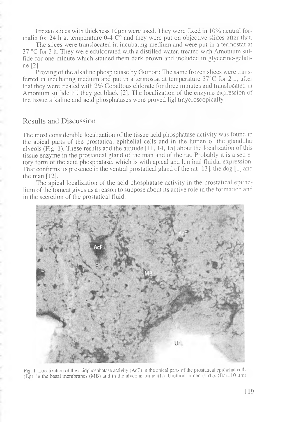Frozen slices with thickness  $10 \mu m$  were used. They were fixed in  $10\%$  neutral formalin for 24 h at temperature  $0-4$  C° and they were put on objective slides after that.

The slices were translocated in incubating medium and were put in a termostat at 37 °C for 3 h. They were edulcorated with a distilled water, treated with Amonium sulfide for one minute which stained them dark brown and included in glycerine-gelatine [2].

Proving of the alkaline phosphatase by Gomori: The same frozen slices were transferred in incubating medium and put in a termostat at temperature 37°C for 2 h, after that they were treated with 2% Cobaltous chlorate for three minutes and translocated in Amonium sulfide till they get black [2]. The localization of the enzyme expression of the tissue alkaline and acid phosphatases were proved lightmycroscopically.

#### Results and Discussion

The most considerable localization of the tissue acid phosphatase activity was found in the apical parts of the prostatical epithelial cells and in the lumen of the glandular alveols (Fig. 1). These results add the attitude [11, 14, 15] about the localization of this tissue enzyme in the prostatical gland of the man and of the rat. Probably it is a secretory form of the acid phosphatase, which is with apical and luminal fluidal expression. That confirms its presence in the ventral prostatical gland of the rat [13], the dog [1] and the man  $[12]$ .

The apical localization of the acid phosphatase activity in the prostatical epithelium of the tomcat gives us a reason to suppose about its active role in the formation and in the secretion of the prostatical fluid.



Fig. 1. Localization of the acidphosphatase activity (AcF) in the apical parts of the prostatical epithelial cells (Ep), in the basal membranes (MB) and in the alveolar lumen(L). Urethral lumen (UrL). (Bar=10  $\mu$ m)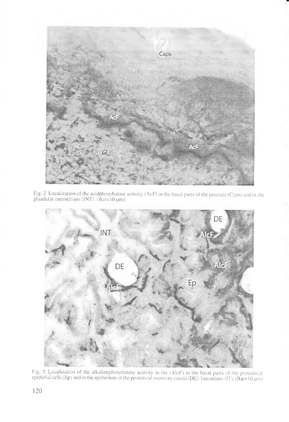

Fig. 2. Localization of the acidphosphatase activity (AcF) in the basal parts of the prostata (Caps) and in the glandular interstitium (INT). (Bar=10 μm)



Fig. 3. Localization of the alkalinephosphatase activity in the (AlcF) in the basal parts of the prostatical epithelial cells (Ep) and in the epithelium of the prostatical excretory canals (DE). Inerstitium (IT), (Bar=10  $\mu$ m)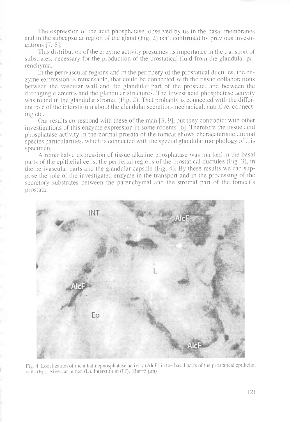The expression of the acid phosphatase, observed by us in the basal membranes and in the subcapsular region of the gland (Fig. 2) isn't confirmed by previous investigations [7, 8].

This distribution of the enzyme activity presumes its importance in the transport of substrates, necessary for the production of the prostatical fluid from the glandular parenchyma.

In the perivascular regions and in the periphery of the prostatical ductules, the enzyme expression is remarkable, that could be connected with the tissue collaborations between the vascular wall and the glandular part of the prostata, and between the drenaging elements and the glandular structures. The lowest acid phosphatase activity was found in the glandular stroma. (Fig. 2). That probably is connected with the different role of the interstitium about the glandular secretion-mechanical, nutritive, connecting etc.

Our results correspond with these of the man [3,9], but they contradict with other investigations of this enzyme expression in some rodents [6]. Therefore the tissue acid phosphatase activity in the normal prosata of the tomcat shows characateristic animal species particularities, which is connected with the special glandular morphology of this specimen.

A remarkable expression of tissue alkaline phosphatase was marked in the basal parts of the epithelial cells, the periferial regions of the prostatical ductules (Fig. 3), in the perivascular parts and the glandular capsule (Fig. 4). By these results we can suppose the role of the investigated enzyme in the transport and in the processing of the secretory substrates between the parenchymal and the stromal part of the tomcat's prostata.



Fig. 4. Localization of the alkalinephosphatase activity (AlcF) in the basal parts of the prostatical epithelial cells (Ep). Alveolar lumen (L). Interstitium (IT). (Bar=5  $\mu$ m)